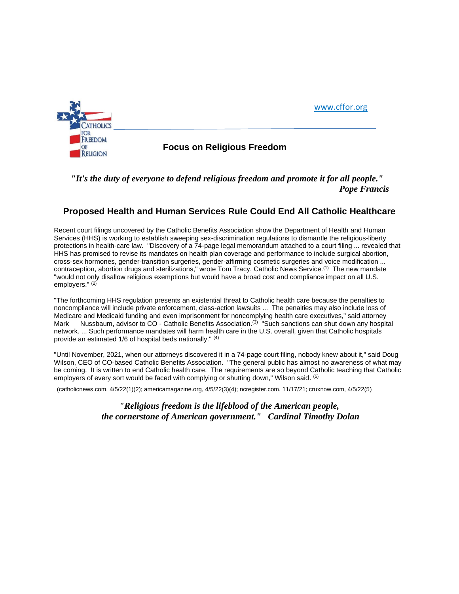

**OF COLLAS CONGREGIST CONCRETE:**<br>RELIGION

[www.cffor.org](http://www.cffor.org/)

## *"It's the duty of everyone to defend religious freedom and promote it for all people." Pope Francis*

## **Proposed Health and Human Services Rule Could End All Catholic Healthcare**

Recent court filings uncovered by the Catholic Benefits Association show the Department of Health and Human Services (HHS) is working to establish sweeping sex-discrimination regulations to dismantle the religious-liberty protections in health-care law. "Discovery of a 74-page legal memorandum attached to a court filing ... revealed that HHS has promised to revise its mandates on health plan coverage and performance to include surgical abortion, cross-sex hormones, gender-transition surgeries, gender-affirming cosmetic surgeries and voice modification ... contraception, abortion drugs and sterilizations," wrote Tom Tracy, Catholic News Service.(1) The new mandate "would not only disallow religious exemptions but would have a broad cost and compliance impact on all U.S. employers." (2)

"The forthcoming HHS regulation presents an existential threat to Catholic health care because the penalties to noncompliance will include private enforcement, class-action lawsuits ... The penalties may also include loss of Medicare and Medicaid funding and even imprisonment for noncomplying health care executives," said attorney Mark Nussbaum, advisor to CO - Catholic Benefits Association.<sup>(3)</sup> "Such sanctions can shut down any hospital network. ... Such performance mandates will harm health care in the U.S. overall, given that Catholic hospitals provide an estimated 1/6 of hospital beds nationally." (4)

"Until November, 2021, when our attorneys discovered it in a 74-page court filing, nobody knew about it," said Doug Wilson, CEO of CO-based Catholic Benefits Association. "The general public has almost no awareness of what may be coming. It is written to end Catholic health care. The requirements are so beyond Catholic teaching that Catholic employers of every sort would be faced with complying or shutting down," Wilson said. <sup>(5)</sup>

(catholicnews.com, 4/5/22(1)(2); americamagazine.org, 4/5/22(3)(4); ncregister.com, 11/17/21; cruxnow.com, 4/5/22(5)

*"Religious freedom is the lifeblood of the American people, the cornerstone of American government." Cardinal Timothy Dolan*